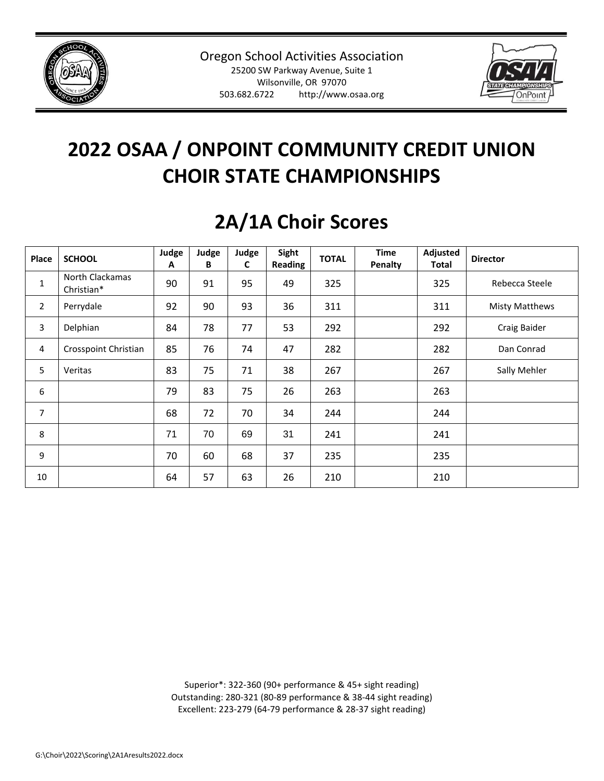



| Place          | <b>SCHOOL</b>                 | Judge<br>A | Judge<br>B | Judge<br>C | Sight<br>Reading | <b>TOTAL</b> | <b>Time</b><br>Penalty | Adjusted<br><b>Total</b> | <b>Director</b>       |
|----------------|-------------------------------|------------|------------|------------|------------------|--------------|------------------------|--------------------------|-----------------------|
| $\mathbf{1}$   | North Clackamas<br>Christian* | 90         | 91         | 95         | 49               | 325          |                        | 325                      | Rebecca Steele        |
| $\overline{2}$ | Perrydale                     | 92         | 90         | 93         | 36               | 311          |                        | 311                      | <b>Misty Matthews</b> |
| 3              | Delphian                      | 84         | 78         | 77         | 53               | 292          |                        | 292                      | Craig Baider          |
| 4              | Crosspoint Christian          | 85         | 76         | 74         | 47               | 282          |                        | 282                      | Dan Conrad            |
| 5              | Veritas                       | 83         | 75         | 71         | 38               | 267          |                        | 267                      | Sally Mehler          |
| 6              |                               | 79         | 83         | 75         | 26               | 263          |                        | 263                      |                       |
| 7              |                               | 68         | 72         | 70         | 34               | 244          |                        | 244                      |                       |
| 8              |                               | 71         | 70         | 69         | 31               | 241          |                        | 241                      |                       |
| 9              |                               | 70         | 60         | 68         | 37               | 235          |                        | 235                      |                       |
| 10             |                               | 64         | 57         | 63         | 26               | 210          |                        | 210                      |                       |

#### **2A/1A Choir Scores**

Superior\*: 322-360 (90+ performance & 45+ sight reading) Outstanding: 280-321 (80-89 performance & 38-44 sight reading) Excellent: 223-279 (64-79 performance & 28-37 sight reading)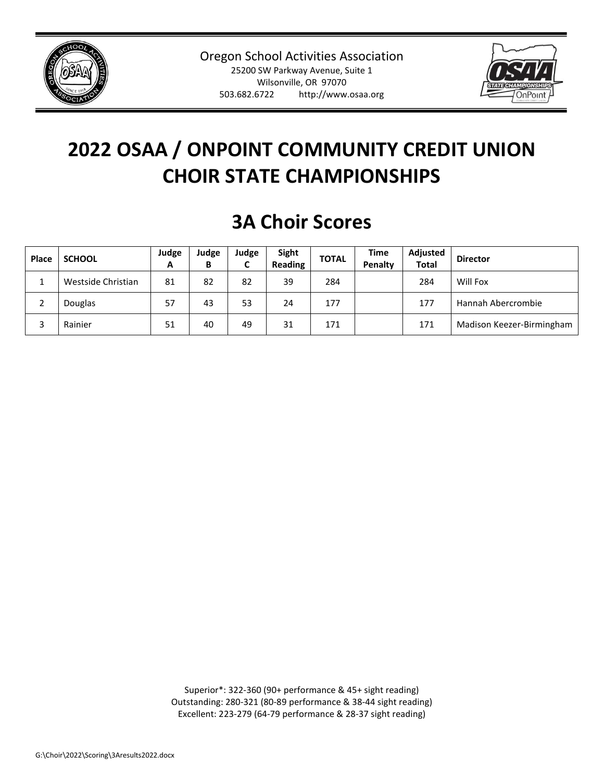



#### **3A Choir Scores**

| <b>Place</b> | <b>SCHOOL</b>      | Judge<br>А | Judge<br>В | Judge<br>⊾ | Sight<br><b>Reading</b> | <b>TOTAL</b> | <b>Time</b><br><b>Penalty</b> | Adjusted<br><b>Total</b> | <b>Director</b>           |
|--------------|--------------------|------------|------------|------------|-------------------------|--------------|-------------------------------|--------------------------|---------------------------|
|              | Westside Christian | 81         | 82         | 82         | 39                      | 284          |                               | 284                      | Will Fox                  |
|              | Douglas            | 57         | 43         | 53         | 24                      | 177          |                               | 177                      | Hannah Abercrombie        |
|              | Rainier            | 51         | 40         | 49         | 31                      | 171          |                               | 171                      | Madison Keezer-Birmingham |

Superior\*: 322-360 (90+ performance & 45+ sight reading) Outstanding: 280-321 (80-89 performance & 38-44 sight reading) Excellent: 223-279 (64-79 performance & 28-37 sight reading)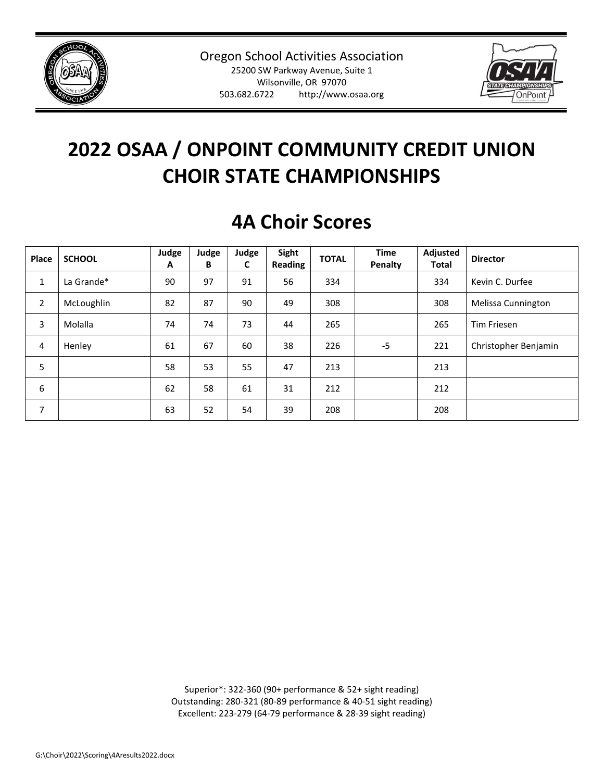



### **4A Choir Scores**

| Place          | <b>SCHOOL</b> | Judge<br>Α | Judge<br>B | Judge<br>C | Sight<br>Reading | <b>TOTAL</b> | <b>Time</b><br>Penalty | Adjusted<br><b>Total</b> | <b>Director</b>      |
|----------------|---------------|------------|------------|------------|------------------|--------------|------------------------|--------------------------|----------------------|
| $\mathbf{1}$   | La Grande*    | 90         | 97         | 91         | 56               | 334          |                        | 334                      | Kevin C. Durfee      |
| $\overline{2}$ | McLoughlin    | 82         | 87         | 90         | 49               | 308          |                        | 308                      | Melissa Cunnington   |
| 3              | Molalla       | 74         | 74         | 73         | 44               | 265          |                        | 265                      | Tim Friesen          |
| 4              | Henley        | 61         | 67         | 60         | 38               | 226          | $-5$                   | 221                      | Christopher Benjamin |
| 5              |               | 58         | 53         | 55         | 47               | 213          |                        | 213                      |                      |
| 6              |               | 62         | 58         | 61         | 31               | 212          |                        | 212                      |                      |
| 7              |               | 63         | 52         | 54         | 39               | 208          |                        | 208                      |                      |

Superior\*: 322-360 (90+ performance & 52+ sight reading) Outstanding: 280-321 (80-89 performance & 40-51 sight reading) Excellent: 223-279 (64-79 performance & 28-39 sight reading)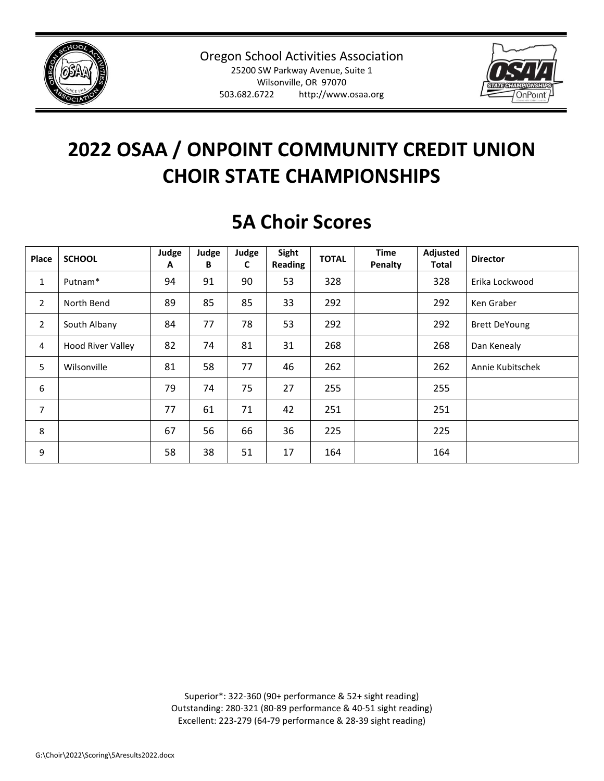



#### **5A Choir Scores**

| Place          | <b>SCHOOL</b>            | Judge<br>Α | Judge<br>B | Judge<br>C | Sight<br>Reading | <b>TOTAL</b> | <b>Time</b><br>Penalty | Adjusted<br>Total | <b>Director</b>      |
|----------------|--------------------------|------------|------------|------------|------------------|--------------|------------------------|-------------------|----------------------|
| 1              | Putnam <sup>*</sup>      | 94         | 91         | 90         | 53               | 328          |                        | 328               | Erika Lockwood       |
| 2              | North Bend               | 89         | 85         | 85         | 33               | 292          |                        | 292               | Ken Graber           |
| $\overline{2}$ | South Albany             | 84         | 77         | 78         | 53               | 292          |                        | 292               | <b>Brett DeYoung</b> |
| $\overline{4}$ | <b>Hood River Valley</b> | 82         | 74         | 81         | 31               | 268          |                        | 268               | Dan Kenealy          |
| 5              | Wilsonville              | 81         | 58         | 77         | 46               | 262          |                        | 262               | Annie Kubitschek     |
| 6              |                          | 79         | 74         | 75         | 27               | 255          |                        | 255               |                      |
| 7              |                          | 77         | 61         | 71         | 42               | 251          |                        | 251               |                      |
| 8              |                          | 67         | 56         | 66         | 36               | 225          |                        | 225               |                      |
| 9              |                          | 58         | 38         | 51         | 17               | 164          |                        | 164               |                      |

Superior\*: 322-360 (90+ performance & 52+ sight reading) Outstanding: 280-321 (80-89 performance & 40-51 sight reading) Excellent: 223-279 (64-79 performance & 28-39 sight reading)